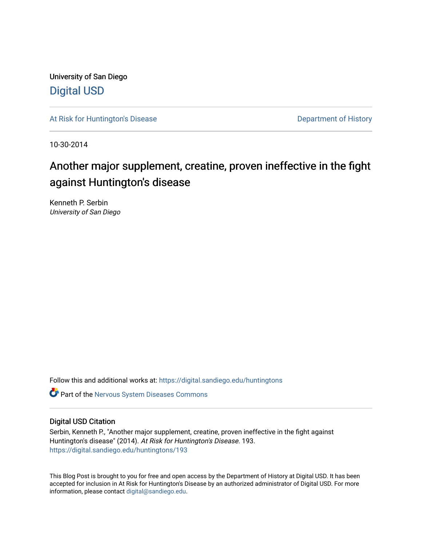University of San Diego [Digital USD](https://digital.sandiego.edu/)

[At Risk for Huntington's Disease](https://digital.sandiego.edu/huntingtons) **Department of History** Department of History

10-30-2014

## Another major supplement, creatine, proven ineffective in the fight against Huntington's disease

Kenneth P. Serbin University of San Diego

Follow this and additional works at: [https://digital.sandiego.edu/huntingtons](https://digital.sandiego.edu/huntingtons?utm_source=digital.sandiego.edu%2Fhuntingtons%2F193&utm_medium=PDF&utm_campaign=PDFCoverPages)

**C** Part of the [Nervous System Diseases Commons](http://network.bepress.com/hgg/discipline/928?utm_source=digital.sandiego.edu%2Fhuntingtons%2F193&utm_medium=PDF&utm_campaign=PDFCoverPages)

## Digital USD Citation

Serbin, Kenneth P., "Another major supplement, creatine, proven ineffective in the fight against Huntington's disease" (2014). At Risk for Huntington's Disease. 193. [https://digital.sandiego.edu/huntingtons/193](https://digital.sandiego.edu/huntingtons/193?utm_source=digital.sandiego.edu%2Fhuntingtons%2F193&utm_medium=PDF&utm_campaign=PDFCoverPages)

This Blog Post is brought to you for free and open access by the Department of History at Digital USD. It has been accepted for inclusion in At Risk for Huntington's Disease by an authorized administrator of Digital USD. For more information, please contact [digital@sandiego.edu.](mailto:digital@sandiego.edu)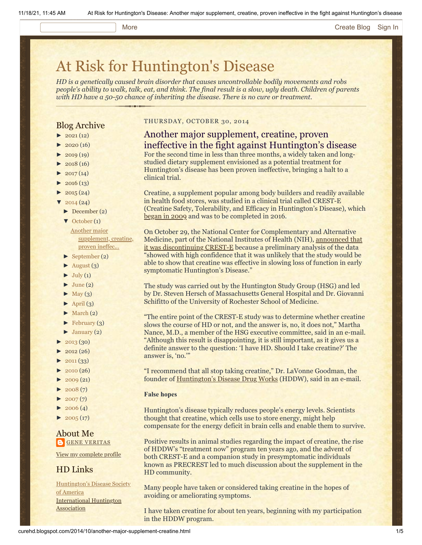#### More **[Create Blog](https://www.blogger.com/home#create) [Sign In](https://www.blogger.com/)**

# [At Risk for Huntington's Disease](http://curehd.blogspot.com/)

*HD is a genetically caused brain disorder that causes uncontrollable bodily movements and robs people's ability to walk, talk, eat, and think. The final result is a slow, ugly death. Children of parents with HD have a 50-50 chance of inheriting the disease. There is no cure or treatment.*

## Blog Archive

- $\blacktriangleright$  [2021](http://curehd.blogspot.com/2021/) (12)
- $\blacktriangleright$  [2020](http://curehd.blogspot.com/2020/) (16)
- $\blacktriangleright$  [2019](http://curehd.blogspot.com/2019/) (19)
- $\blacktriangleright$  [2018](http://curehd.blogspot.com/2018/) (16)
- $2017(14)$  $2017(14)$
- $2016(13)$  $2016(13)$
- $\blacktriangleright$  [2015](http://curehd.blogspot.com/2015/) (24)
- $\sqrt{2014(24)}$  $\sqrt{2014(24)}$  $\sqrt{2014(24)}$
- [►](javascript:void(0)) [December](http://curehd.blogspot.com/2014/12/) (2)
- [▼](javascript:void(0)) [October](http://curehd.blogspot.com/2014/10/) (1) Another major [supplement,](http://curehd.blogspot.com/2014/10/another-major-supplement-creatine.html) creatine, proven ineffec...
- [►](javascript:void(0)) [September](http://curehd.blogspot.com/2014/09/) (2)
- $\blacktriangleright$  [August](http://curehd.blogspot.com/2014/08/) (3)
- $\blacktriangleright$  [July](http://curehd.blogspot.com/2014/07/) (1)
- $\blacktriangleright$  [June](http://curehd.blogspot.com/2014/06/) (2)
- $\blacktriangleright$  [May](http://curehd.blogspot.com/2014/05/) (3)
- $\blacktriangleright$  [April](http://curehd.blogspot.com/2014/04/) (3)
- [►](javascript:void(0)) [March](http://curehd.blogspot.com/2014/03/) (2)
- $\blacktriangleright$  [February](http://curehd.blogspot.com/2014/02/) (3)
- $\blacktriangleright$  [January](http://curehd.blogspot.com/2014/01/) (2)
- $-2013(30)$  $-2013(30)$  $-2013(30)$
- $2012(26)$  $2012(26)$
- $\blacktriangleright$  [2011](http://curehd.blogspot.com/2011/) (33)
- $\blacktriangleright$  [2010](http://curehd.blogspot.com/2010/) (26)
- $\blacktriangleright$  [2009](http://curehd.blogspot.com/2009/) (21)
- $\blacktriangleright$  [2008](http://curehd.blogspot.com/2008/) $(7)$
- $\blacktriangleright$  [2007](http://curehd.blogspot.com/2007/) $(7)$
- $2006(4)$  $2006(4)$
- $\blacktriangleright$  [2005](http://curehd.blogspot.com/2005/) (17)

## About Me **GENE [VERITAS](https://www.blogger.com/profile/10911736205741688185)**

View my [complete](https://www.blogger.com/profile/10911736205741688185) profile

## HD Links

[Huntington's](http://www.hdsa.org/) Disease Society of America [International](http://www.huntington-assoc.com/) Huntington **Association** 

## THURSDAY, OCTOBER 30, 2014

## Another major supplement, creatine, proven ineffective in the fight against Huntington's disease

For the second time in less than three months, a widely taken and longstudied dietary supplement envisioned as a potential treatment for Huntington's disease has been proven ineffective, bringing a halt to a clinical trial.

Creatine, a supplement popular among body builders and readily available in health food stores, was studied in a clinical trial called CREST-E (Creatine Safety, Tolerability, and Efficacy in Huntington's Disease), which [began in 2009](https://clinicaltrials.gov/ct2/results?term=crest-e&Search=Search) and was to be completed in 2016.

On October 29, the National Center for Complementary and Alternative Medicine, part of the National Institutes of Health (NIH), announced that [it was discontinuing CREST-E because a preliminary analysis of the](http://www.huntington-study-group.org/CurrentClinicalTrials/CRESTE/CRESTEOctober2014PressRelease/tabid/316/Default.aspx) data "showed with high confidence that it was unlikely that the study would be able to show that creatine was effective in slowing loss of function in early symptomatic Huntington's Disease."

The study was carried out by the Huntington Study Group (HSG) and led by Dr. Steven Hersch of Massachusetts General Hospital and Dr. Giovanni Schifitto of the University of Rochester School of Medicine.

"The entire point of the CREST-E study was to determine whether creatine slows the course of HD or not, and the answer is, no, it does not," Martha Nance, M.D., a member of the HSG executive committee, said in an e-mail. "Although this result is disappointing, it is still important, as it gives us a definite answer to the question: 'I have HD. Should I take creatine?' The answer is, 'no.'"

"I recommend that all stop taking creatine," Dr. LaVonne Goodman, the founder of [Huntington's Disease Drug Works](http://hddrugworks.org/) (HDDW), said in an e-mail.

### **False hopes**

Huntington's disease typically reduces people's energy levels. Scientists thought that creatine, which cells use to store energy, might help compensate for the energy deficit in brain cells and enable them to survive.

Positive results in animal studies regarding the impact of creatine, the rise of HDDW's "treatment now" program ten years ago, and the advent of both CREST-E and a companion study in presymptomatic individuals known as PRECREST led to much discussion about the supplement in the HD community.

Many people have taken or considered taking creatine in the hopes of avoiding or ameliorating symptoms.

I have taken creatine for about ten years, beginning with my participation in the HDDW program.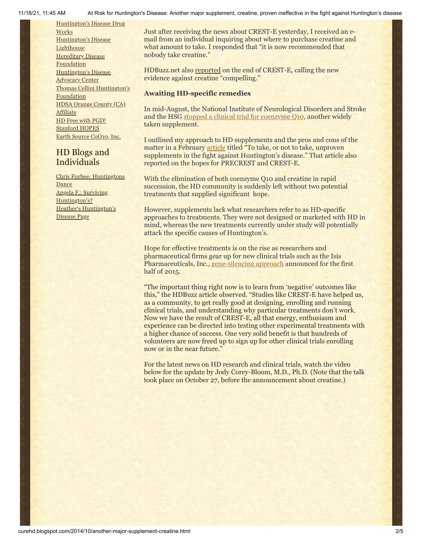[Huntington's](http://hddrugworks.org/) Disease Drug

**Works** [Huntington's](http://www.hdlighthouse.org/) Disease **Lighthouse Hereditary Disease [Foundation](http://www.hdfoundation.org/)** [Huntington's](http://www.hdac.org/) Disease Advocacy Center Thomas [Cellini Huntington's](http://www.ourtchfoundation.org/) Foundation HDSA Orange County (CA) [Affiliate](http://www.hdsaoc.org/) HD Free with [PGD!](http://www.hdfreewithpgd.com/) [Stanford](http://www.stanford.edu/group/hopes/) HOPES Earth Source [CoQ10,](http://www.escoq10.com/) Inc.

## HD Blogs and Individuals

Chris Furbee: [Huntingtons](http://www.huntingtonsdance.org/) **Dance** Angela F.: Surviving [Huntington's?](http://survivinghuntingtons.blogspot.com/) Heather's [Huntington's](http://heatherdugdale.angelfire.com/) Disease Page

11/18/21, 11:45 AM At Risk for Huntington's Disease: Another major supplement, creatine, proven ineffective in the fight against Huntington's disease

Just after receiving the news about CREST-E yesterday, I received an email from an individual inquiring about where to purchase creatine and what amount to take. I responded that "it is now recommended that nobody take creatine."

HDBuzz.net also [reported](http://en.hdbuzz.net/181) on the end of CREST-E, calling the new evidence against creatine "compelling."

## **Awaiting HD-specific remedies**

In mid-August, the National Institute of Neurological Disorders and Stroke and the HSG [stopped a clinical trial for coenzyme Q10](http://curehd.blogspot.com/2014/08/bidding-farewell-to-coq10-long-studied.html), another widely taken supplement.

I outlined my approach to HD supplements and the pros and cons of the matter in a February [article](http://curehd.blogspot.com/2014/02/to-take-or-not-to-take-unproven.html) titled "To take, or not to take, unproven supplements in the fight against Huntington's disease." That article also reported on the hopes for PRECREST and CREST-E.

With the elimination of both coenzyme Q10 and creatine in rapid succession, the HD community is suddenly left without two potential treatments that supplied significant hope.

However, supplements lack what researchers refer to as HD-specific approaches to treatments. They were not designed or marketed with HD in mind, whereas the new treatments currently under study will potentially attack the specific causes of Huntington's.

Hope for effective treatments is on the rise as researchers and pharmaceutical firms gear up for new clinical trials such as the Isis Pharmaceuticals, Inc., [gene-silencing approach](http://curehd.blogspot.com/2014/09/moving-toward-potential-treatment-isis.html) announced for the first half of 2015.

"The important thing right now is to learn from 'negative' outcomes like this," the HDBuzz article observed. "Studies like CREST-E have helped us, as a community, to get really good at designing, enrolling and running clinical trials, and understanding why particular treatments don't work. Now we have the result of CREST-E, all that energy, enthusiasm and experience can be directed into testing other experimental treatments with a higher chance of success. One very solid benefit is that hundreds of volunteers are now freed up to sign up for other clinical trials enrolling now or in the near future."

For the latest news on HD research and clinical trials, watch the video below for the update by Jody Corey-Bloom, M.D., Ph.D. (Note that the talk took place on October 27, before the announcement about creatine.)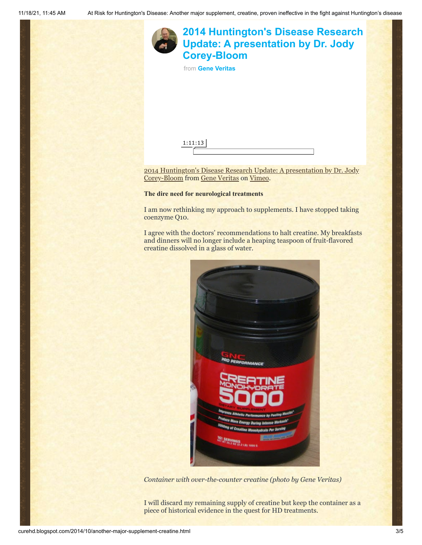

I am now rethinking my approach to supplements. I have stopped taking coenzyme Q10.

I agree with the doctors' recommendations to halt creatine. My breakfasts and dinners will no longer include a heaping teaspoon of fruit-flavored creatine dissolved in a glass of water.



*Container with over-the-counter creatine (photo by Gene Veritas)*

I will discard my remaining supply of creatine but keep the container as a piece of historical evidence in the quest for HD treatments.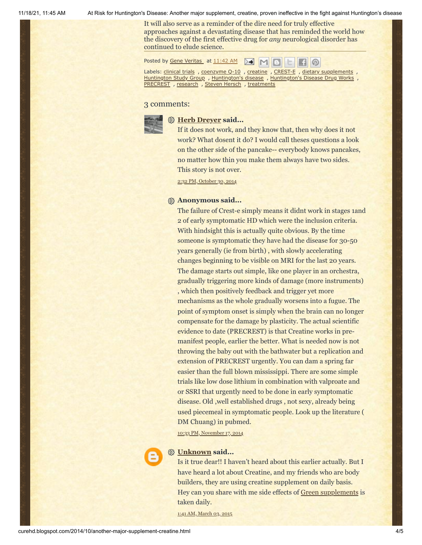11/18/21, 11:45 AM At Risk for Huntington's Disease: Another major supplement, creatine, proven ineffective in the fight against Huntington's disease

It will also serve as a reminder of the dire need for truly effective approaches against a devastating disease that has reminded the world how the discovery of the first effective drug for *any* neurological disorder has continued to elude science.

Posted by Gene [Veritas](https://www.blogger.com/profile/03599828959793084715) at [11:42](http://curehd.blogspot.com/2014/10/another-major-supplement-creatine.html) AM

Labels: [clinical](http://curehd.blogspot.com/search/label/clinical%20trials) trials , [coenzyme](http://curehd.blogspot.com/search/label/coenzyme%20Q-10) Q-10 , [creatine](http://curehd.blogspot.com/search/label/creatine) , [CREST-E](http://curehd.blogspot.com/search/label/CREST-E) , dietary [supplements](http://curehd.blogspot.com/search/label/dietary%20supplements) , [Huntington](http://curehd.blogspot.com/search/label/Huntington%20Study%20Group) Study Group , [Huntington's](http://curehd.blogspot.com/search/label/Huntington%27s%20Disease%20Drug%20Works) disease , Huntington's Disease Drug Works , **[PRECREST](http://curehd.blogspot.com/search/label/PRECREST)**, [research](http://curehd.blogspot.com/search/label/research), Steven [Hersch](http://curehd.blogspot.com/search/label/Steven%20Hersch), [treatments](http://curehd.blogspot.com/search/label/treatments)

### 3 comments:



### **[Herb Dreyer](https://www.blogger.com/profile/15439204065275165135) said...**

If it does not work, and they know that, then why does it not work? What dosent it do? I would call theses questions a look on the other side of the pancake-- everybody knows pancakes, no matter how thin you make them always have two sides. This story is not over.

2:32 PM, [October](http://curehd.blogspot.com/2014/10/another-major-supplement-creatine.html?showComment=1414704776615#c2670197792084740595) 30, 2014

#### **Anonymous said...**

The failure of Crest-e simply means it didnt work in stages 1and 2 of early symptomatic HD which were the inclusion criteria. With hindsight this is actually quite obvious. By the time someone is symptomatic they have had the disease for 30-50 years generally (ie from birth) , with slowly accelerating changes beginning to be visible on MRI for the last 20 years. The damage starts out simple, like one player in an orchestra, gradually triggering more kinds of damage (more instruments) , which then positively feedback and trigger yet more mechanisms as the whole gradually worsens into a fugue. The point of symptom onset is simply when the brain can no longer compensate for the damage by plasticity. The actual scientific evidence to date (PRECREST) is that Creatine works in premanifest people, earlier the better. What is needed now is not throwing the baby out with the bathwater but a replication and extension of PRECREST urgently. You can dam a spring far easier than the full blown mississippi. There are some simple trials like low dose lithium in combination with valproate and or SSRI that urgently need to be done in early symptomatic disease. Old ,well established drugs , not sexy, already being used piecemeal in symptomatic people. Look up the literature ( DM Chuang) in pubmed.

10:33 PM, [November](http://curehd.blogspot.com/2014/10/another-major-supplement-creatine.html?showComment=1416292386786#c2592038923338470267) 17, 2014



#### **[Unknown](https://www.blogger.com/profile/05909986898265430316) said...**

Is it true dear!! I haven't heard about this earlier actually. But I have heard a lot about Creatine, and my friends who are body builders, they are using creatine supplement on daily basis. Hey can you share with me side effects of [Green supplements](http://www.ivlproducts.com/Superfoods/All-Day-Energy-Greens-174---Original---Hi-Octane-Energy-Drink-For-Health-Life.axd) is taken daily.

1:41 AM, [March](http://curehd.blogspot.com/2014/10/another-major-supplement-creatine.html?showComment=1425375706945#c8075372635143179226) 03, 2015